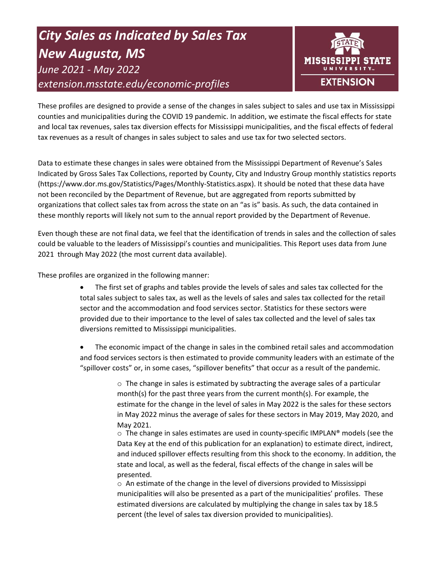# *City Sales as Indicated by Sales Tax New Augusta, MS June 2021 - May 2022 extension.msstate.edu/economic-profiles*



These profiles are designed to provide a sense of the changes in sales subject to sales and use tax in Mississippi counties and municipalities during the COVID 19 pandemic. In addition, we estimate the fiscal effects for state and local tax revenues, sales tax diversion effects for Mississippi municipalities, and the fiscal effects of federal tax revenues as a result of changes in sales subject to sales and use tax for two selected sectors.

Data to estimate these changes in sales were obtained from the Mississippi Department of Revenue's Sales Indicated by Gross Sales Tax Collections, reported by County, City and Industry Group monthly statistics reports (https://www.dor.ms.gov/Statistics/Pages/Monthly-Statistics.aspx). It should be noted that these data have not been reconciled by the Department of Revenue, but are aggregated from reports submitted by organizations that collect sales tax from across the state on an "as is" basis. As such, the data contained in these monthly reports will likely not sum to the annual report provided by the Department of Revenue.

Even though these are not final data, we feel that the identification of trends in sales and the collection of sales could be valuable to the leaders of Mississippi's counties and municipalities. This Report uses data from June 2021 through May 2022 (the most current data available).

These profiles are organized in the following manner:

- The first set of graphs and tables provide the levels of sales and sales tax collected for the total sales subject to sales tax, as well as the levels of sales and sales tax collected for the retail sector and the accommodation and food services sector. Statistics for these sectors were provided due to their importance to the level of sales tax collected and the level of sales tax diversions remitted to Mississippi municipalities.
- The economic impact of the change in sales in the combined retail sales and accommodation and food services sectors is then estimated to provide community leaders with an estimate of the "spillover costs" or, in some cases, "spillover benefits" that occur as a result of the pandemic.

 $\circ$  The change in sales is estimated by subtracting the average sales of a particular month(s) for the past three years from the current month(s). For example, the estimate for the change in the level of sales in May 2022 is the sales for these sectors in May 2022 minus the average of sales for these sectors in May 2019, May 2020, and May 2021.

 $\circ$  The change in sales estimates are used in county-specific IMPLAN® models (see the Data Key at the end of this publication for an explanation) to estimate direct, indirect, and induced spillover effects resulting from this shock to the economy. In addition, the state and local, as well as the federal, fiscal effects of the change in sales will be presented.

 $\circ$  An estimate of the change in the level of diversions provided to Mississippi municipalities will also be presented as a part of the municipalities' profiles. These estimated diversions are calculated by multiplying the change in sales tax by 18.5 percent (the level of sales tax diversion provided to municipalities).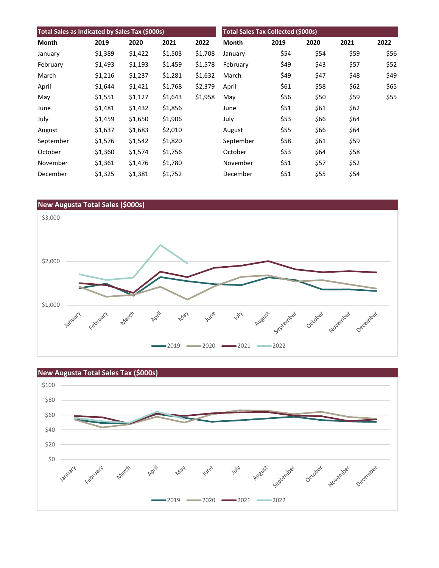| Total Sales as Indicated by Sales Tax (\$000s) |         |         |         |         | <b>Total Sales Tax Collected (\$000s)</b> |      |      |      |      |
|------------------------------------------------|---------|---------|---------|---------|-------------------------------------------|------|------|------|------|
| Month                                          | 2019    | 2020    | 2021    | 2022    | Month                                     | 2019 | 2020 | 2021 | 2022 |
| January                                        | \$1,389 | \$1,422 | \$1,503 | \$1,708 | January                                   | \$54 | \$54 | \$59 | \$56 |
| February                                       | \$1,493 | \$1,193 | \$1,459 | \$1,578 | February                                  | \$49 | \$43 | \$57 | \$52 |
| March                                          | \$1,216 | \$1,237 | \$1,281 | \$1,632 | March                                     | \$49 | \$47 | \$48 | \$49 |
| April                                          | \$1,644 | \$1,421 | \$1,768 | \$2,379 | April                                     | \$61 | \$58 | \$62 | \$65 |
| May                                            | \$1,551 | \$1,127 | \$1,643 | \$1,958 | May                                       | \$56 | \$50 | \$59 | \$55 |
| June                                           | \$1,481 | \$1,432 | \$1,856 |         | June                                      | \$51 | \$61 | \$62 |      |
| July                                           | \$1,459 | \$1,650 | \$1,906 |         | July                                      | \$53 | \$66 | \$64 |      |
| August                                         | \$1,637 | \$1,683 | \$2,010 |         | August                                    | \$55 | \$66 | \$64 |      |
| September                                      | \$1,576 | \$1,542 | \$1,820 |         | September                                 | \$58 | \$61 | \$59 |      |
| October                                        | \$1,360 | \$1,574 | \$1,756 |         | October                                   | \$53 | \$64 | \$58 |      |
| November                                       | \$1,361 | \$1,476 | \$1,780 |         | November                                  | \$51 | \$57 | \$52 |      |
| December                                       | \$1,325 | \$1,381 | \$1,752 |         | December                                  | \$51 | \$55 | \$54 |      |



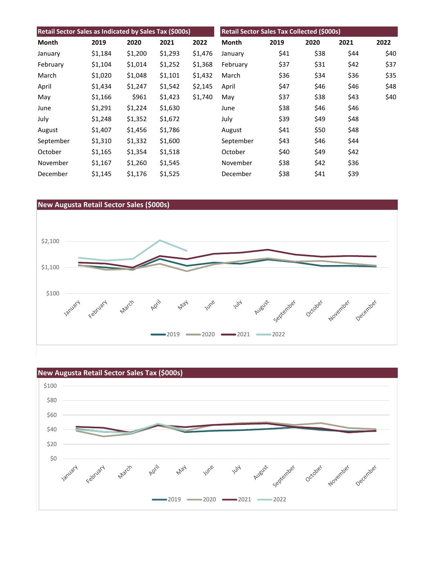| Retail Sector Sales as Indicated by Sales Tax (\$000s) |         |         |         |         | Retail Sector Sales Tax Collected (\$000s) |      |      |      |      |
|--------------------------------------------------------|---------|---------|---------|---------|--------------------------------------------|------|------|------|------|
| Month                                                  | 2019    | 2020    | 2021    | 2022    | Month                                      | 2019 | 2020 | 2021 | 2022 |
| January                                                | \$1,184 | \$1,200 | \$1,293 | \$1,476 | January                                    | \$41 | \$38 | \$44 | \$40 |
| February                                               | \$1,104 | \$1,014 | \$1,252 | \$1,368 | February                                   | \$37 | \$31 | \$42 | \$37 |
| March                                                  | \$1,020 | \$1,048 | \$1,101 | \$1,432 | March                                      | \$36 | \$34 | \$36 | \$35 |
| April                                                  | \$1,434 | \$1,247 | \$1,542 | \$2,145 | April                                      | \$47 | \$46 | \$46 | \$48 |
| May                                                    | \$1,166 | \$961   | \$1,423 | \$1,740 | May                                        | \$37 | \$38 | \$43 | \$40 |
| June                                                   | \$1,291 | \$1,224 | \$1,630 |         | June                                       | \$38 | \$46 | \$46 |      |
| July                                                   | \$1,248 | \$1,352 | \$1,672 |         | July                                       | \$39 | \$49 | \$48 |      |
| August                                                 | \$1,407 | \$1,456 | \$1,786 |         | August                                     | \$41 | \$50 | \$48 |      |
| September                                              | \$1,310 | \$1,332 | \$1,600 |         | September                                  | \$43 | \$46 | \$44 |      |
| October                                                | \$1,165 | \$1,354 | \$1,518 |         | October                                    | \$40 | \$49 | \$42 |      |
| November                                               | \$1,167 | \$1,260 | \$1,545 |         | November                                   | \$38 | \$42 | \$36 |      |
| December                                               | \$1,145 | \$1,176 | \$1,525 |         | December                                   | \$38 | \$41 | \$39 |      |



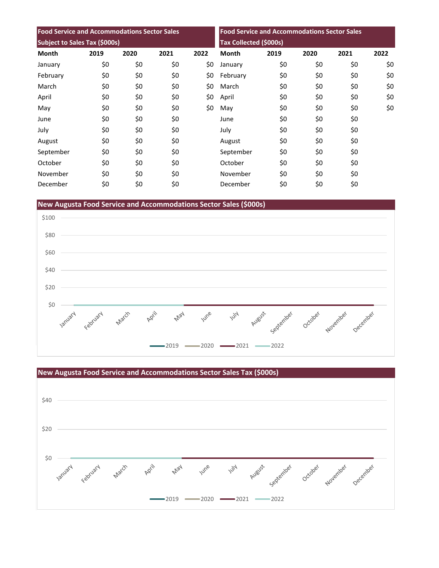| <b>Food Service and Accommodations Sector Sales</b> |      |      |      | <b>Food Service and Accommodations Sector Sales</b><br><b>Tax Collected (\$000s)</b> |              |      |      |      |      |
|-----------------------------------------------------|------|------|------|--------------------------------------------------------------------------------------|--------------|------|------|------|------|
| Subject to Sales Tax (\$000s)                       |      |      |      |                                                                                      |              |      |      |      |      |
| <b>Month</b>                                        | 2019 | 2020 | 2021 | 2022                                                                                 | <b>Month</b> | 2019 | 2020 | 2021 | 2022 |
| January                                             | \$0  | \$0  | \$0  | \$0                                                                                  | January      | \$0  | \$0  | \$0  | \$0  |
| February                                            | \$0  | \$0  | \$0  | \$0                                                                                  | February     | \$0  | \$0  | \$0  | \$0  |
| March                                               | \$0  | \$0  | \$0  | \$0                                                                                  | March        | \$0  | \$0  | \$0  | \$0  |
| April                                               | \$0  | \$0  | \$0  | \$0                                                                                  | April        | \$0  | \$0  | \$0  | \$0  |
| May                                                 | \$0  | \$0  | \$0  | \$0                                                                                  | May          | \$0  | \$0  | \$0  | \$0  |
| June                                                | \$0  | \$0  | \$0  |                                                                                      | June         | \$0  | \$0  | \$0  |      |
| July                                                | \$0  | \$0  | \$0  |                                                                                      | July         | \$0  | \$0  | \$0  |      |
| August                                              | \$0  | \$0  | \$0  |                                                                                      | August       | \$0  | \$0  | \$0  |      |
| September                                           | \$0  | \$0  | \$0  |                                                                                      | September    | \$0  | \$0  | \$0  |      |
| October                                             | \$0  | \$0  | \$0  |                                                                                      | October      | \$0  | \$0  | \$0  |      |
| November                                            | \$0  | \$0  | \$0  |                                                                                      | November     | \$0  | \$0  | \$0  |      |
| December                                            | \$0  | \$0  | \$0  |                                                                                      | December     | \$0  | \$0  | \$0  |      |

**New Augusta Food Service and Accommodations Sector Sales (\$000s)**



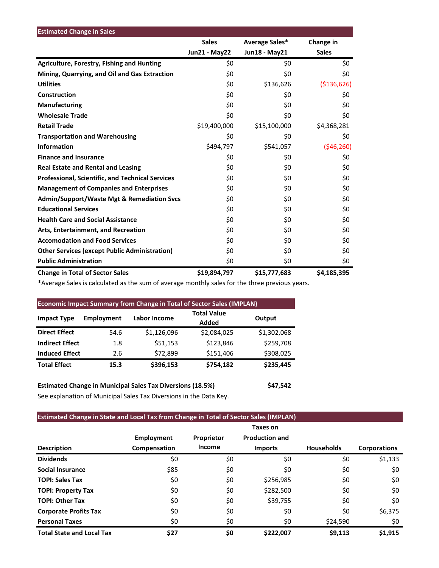| <b>Estimated Change in Sales</b>                        |                      |                |               |
|---------------------------------------------------------|----------------------|----------------|---------------|
|                                                         | <b>Sales</b>         | Average Sales* | Change in     |
|                                                         | <b>Jun21 - May22</b> | Jun18 - May21  | <b>Sales</b>  |
| <b>Agriculture, Forestry, Fishing and Hunting</b>       | \$0                  | \$0            | \$0           |
| Mining, Quarrying, and Oil and Gas Extraction           | \$0                  | \$0            | \$0           |
| <b>Utilities</b>                                        | \$0                  | \$136,626      | ( \$136, 626) |
| Construction                                            | \$0                  | \$0            | \$0           |
| <b>Manufacturing</b>                                    | \$0                  | \$0            | \$0           |
| <b>Wholesale Trade</b>                                  | \$0                  | \$0            | \$0           |
| <b>Retail Trade</b>                                     | \$19,400,000         | \$15,100,000   | \$4,368,281   |
| <b>Transportation and Warehousing</b>                   | \$0                  | \$0            | \$0           |
| <b>Information</b>                                      | \$494,797            | \$541,057      | (546, 260)    |
| <b>Finance and Insurance</b>                            | \$0                  | \$0            | \$0           |
| <b>Real Estate and Rental and Leasing</b>               | \$0                  | \$0            | \$0           |
| <b>Professional, Scientific, and Technical Services</b> | \$0                  | \$0            | \$0           |
| <b>Management of Companies and Enterprises</b>          | \$0                  | \$0            | \$0           |
| <b>Admin/Support/Waste Mgt &amp; Remediation Svcs</b>   | \$0                  | \$0            | \$0           |
| <b>Educational Services</b>                             | \$0                  | \$0            | \$0           |
| <b>Health Care and Social Assistance</b>                | \$0                  | \$0            | \$0           |
| Arts, Entertainment, and Recreation                     | \$0                  | \$0            | \$0           |
| <b>Accomodation and Food Services</b>                   | \$0                  | \$0            | \$0           |
| <b>Other Services (except Public Administration)</b>    | \$0                  | \$0            | \$0           |
| <b>Public Administration</b>                            | \$0                  | \$0            | \$0           |
| <b>Change in Total of Sector Sales</b>                  | \$19,894,797         | \$15,777,683   | \$4,185,395   |

\*Average Sales is calculated as the sum of average monthly sales for the three previous years.

| <b>Economic Impact Summary from Change in Total of Sector Sales (IMPLAN)</b> |                   |                     |                             |             |  |  |  |
|------------------------------------------------------------------------------|-------------------|---------------------|-----------------------------|-------------|--|--|--|
| <b>Impact Type</b>                                                           | <b>Employment</b> | <b>Labor Income</b> | <b>Total Value</b><br>Added | Output      |  |  |  |
| <b>Direct Effect</b>                                                         | 54.6              | \$1,126,096         | \$2,084,025                 | \$1,302,068 |  |  |  |
| <b>Indirect Effect</b>                                                       | 1.8               | \$51,153            | \$123,846                   | \$259,708   |  |  |  |
| <b>Induced Effect</b>                                                        | 2.6               | \$72,899            | \$151,406                   | \$308,025   |  |  |  |
| <b>Total Effect</b>                                                          | 15.3              | \$396,153           | \$754,182                   | \$235,445   |  |  |  |

**Estimated Change in Municipal Sales Tax Diversions (18.5%) \$47,542** See explanation of Municipal Sales Tax Diversions in the Data Key.

## **Estimated Change in State and Local Tax from Change in Total of Sector Sales (IMPLAN)**

|                                  | <b>Employment</b> | Proprietor | Taxes on<br><b>Production and</b> |                   |                     |
|----------------------------------|-------------------|------------|-----------------------------------|-------------------|---------------------|
| <b>Description</b>               | Compensation      | Income     | <b>Imports</b>                    | <b>Households</b> | <b>Corporations</b> |
| <b>Dividends</b>                 | \$0               | \$0        | \$0                               | \$0               | \$1,133             |
| <b>Social Insurance</b>          | \$85              | \$0        | \$0                               | \$0               | \$0                 |
| <b>TOPI: Sales Tax</b>           | \$0               | \$0        | \$256,985                         | \$0               | \$0                 |
| <b>TOPI: Property Tax</b>        | \$0               | \$0        | \$282,500                         | \$0               | \$0                 |
| <b>TOPI: Other Tax</b>           | \$0               | \$0        | \$39,755                          | \$0               | \$0                 |
| <b>Corporate Profits Tax</b>     | \$0               | \$0        | \$0                               | \$0               | \$6,375             |
| <b>Personal Taxes</b>            | \$0               | \$0        | \$0                               | \$24,590          | \$0                 |
| <b>Total State and Local Tax</b> | \$27              | \$0        | \$222,007                         | \$9,113           | \$1,915             |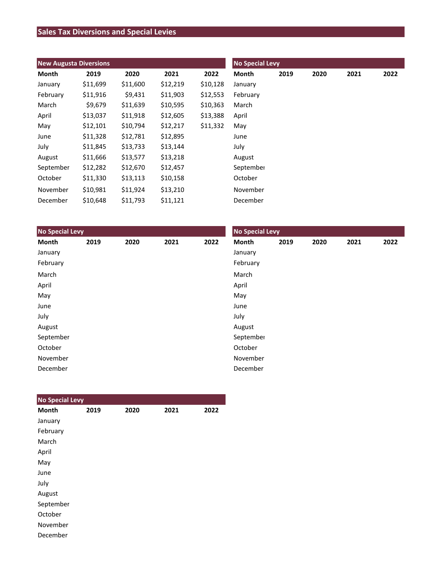# **Sales Tax Diversions and Special Levies**

| <b>New Augusta Diversions</b> |          |          |          |          | <b>No Special Levy</b> |      |      |      |      |  |
|-------------------------------|----------|----------|----------|----------|------------------------|------|------|------|------|--|
| Month                         | 2019     | 2020     | 2021     | 2022     | Month                  | 2019 | 2020 | 2021 | 2022 |  |
| January                       | \$11,699 | \$11,600 | \$12,219 | \$10,128 | January                |      |      |      |      |  |
| February                      | \$11,916 | \$9,431  | \$11,903 | \$12,553 | February               |      |      |      |      |  |
| March                         | \$9,679  | \$11,639 | \$10,595 | \$10,363 | March                  |      |      |      |      |  |
| April                         | \$13,037 | \$11,918 | \$12,605 | \$13,388 | April                  |      |      |      |      |  |
| May                           | \$12,101 | \$10,794 | \$12,217 | \$11,332 | May                    |      |      |      |      |  |
| June                          | \$11,328 | \$12,781 | \$12,895 |          | June                   |      |      |      |      |  |
| July                          | \$11,845 | \$13,733 | \$13,144 |          | July                   |      |      |      |      |  |
| August                        | \$11,666 | \$13,577 | \$13,218 |          | August                 |      |      |      |      |  |
| September                     | \$12,282 | \$12,670 | \$12,457 |          | September              |      |      |      |      |  |
| October                       | \$11,330 | \$13,113 | \$10,158 |          | October                |      |      |      |      |  |
| November                      | \$10,981 | \$11,924 | \$13,210 |          | November               |      |      |      |      |  |
| December                      | \$10,648 | \$11,793 | \$11,121 |          | December               |      |      |      |      |  |

| <b>No Special Levy</b> |      |      |      |      | <b>No Special Levy</b> |      |      |      |      |  |
|------------------------|------|------|------|------|------------------------|------|------|------|------|--|
| Month                  | 2019 | 2020 | 2021 | 2022 | Month                  | 2019 | 2020 | 2021 | 2022 |  |
| January                |      |      |      |      | January                |      |      |      |      |  |
| February               |      |      |      |      | February               |      |      |      |      |  |
| March                  |      |      |      |      | March                  |      |      |      |      |  |
| April                  |      |      |      |      | April                  |      |      |      |      |  |
| May                    |      |      |      |      | May                    |      |      |      |      |  |
| June                   |      |      |      |      | June                   |      |      |      |      |  |
| July                   |      |      |      |      | July                   |      |      |      |      |  |
| August                 |      |      |      |      | August                 |      |      |      |      |  |
| September              |      |      |      |      | September              |      |      |      |      |  |
| October                |      |      |      |      | October                |      |      |      |      |  |
| November               |      |      |      |      | November               |      |      |      |      |  |
| December               |      |      |      |      | December               |      |      |      |      |  |

| <b>No Special Levy</b> |      |      |      |      |
|------------------------|------|------|------|------|
| <b>Month</b>           | 2019 | 2020 | 2021 | 2022 |
| January                |      |      |      |      |
| February               |      |      |      |      |
| March                  |      |      |      |      |
| April                  |      |      |      |      |
| May                    |      |      |      |      |
| June                   |      |      |      |      |
| July                   |      |      |      |      |
| August                 |      |      |      |      |
| September              |      |      |      |      |
| October                |      |      |      |      |
| November               |      |      |      |      |
| December               |      |      |      |      |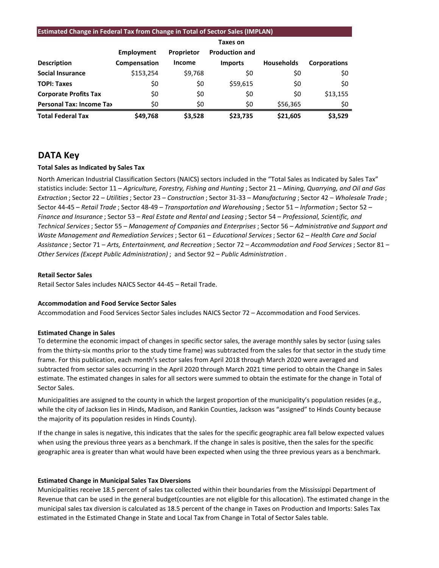#### **Estimated Change in Federal Tax from Change in Total of Sector Sales (IMPLAN)**

|                                 |              |               | <b>Taxes on</b>       |                   |                     |
|---------------------------------|--------------|---------------|-----------------------|-------------------|---------------------|
|                                 | Employment   | Proprietor    | <b>Production and</b> |                   |                     |
| <b>Description</b>              | Compensation | <b>Income</b> | <b>Imports</b>        | <b>Households</b> | <b>Corporations</b> |
| <b>Social Insurance</b>         | \$153,254    | \$9,768       | \$0                   | \$0               | \$0                 |
| <b>TOPI: Taxes</b>              | \$0          | \$0           | \$59,615              | \$0               | \$0                 |
| <b>Corporate Profits Tax</b>    | \$0          | \$0           | \$0                   | \$0               | \$13,155            |
| <b>Personal Tax: Income Tax</b> | \$0          | \$0           | \$0                   | \$56,365          | \$0                 |
| <b>Total Federal Tax</b>        | \$49,768     | \$3.528       | \$23.735              | \$21,605          | \$3,529             |

## **DATA Key**

#### **Total Sales as Indicated by Sales Tax**

North American Industrial Classification Sectors (NAICS) sectors included in the "Total Sales as Indicated by Sales Tax" statistics include: Sector 11 – *Agriculture, Forestry, Fishing and Hunting* ; Sector 21 – *Mining, Quarrying, and Oil and Gas Extraction* ; Sector 22 – *Utilities*; Sector 23 – *Construction* ; Sector 31-33 – *Manufacturing* ; Sector 42 – *Wholesale Trade* ; Sector 44-45 – *Retail Trade* ; Sector 48-49 – *Transportation and Warehousing* ; Sector 51 – *Information* ; Sector 52 – *Finance and Insurance* ; Sector 53 – *Real Estate and Rental and Leasing* ; Sector 54 – *Professional, Scientific, and Technical Services*; Sector 55 – *Management of Companies and Enterprises* ; Sector 56 – *Administrative and Support and Waste Management and Remediation Services* ; Sector 61 – *Educational Services*; Sector 62 – *Health Care and Social Assistance* ; Sector 71 – *Arts, Entertainment, and Recreation* ; Sector 72 – *Accommodation and Food Services* ; Sector 81 – *Other Services (Except Public Administration)* ; and Sector 92 – *Public Administration* .

#### **Retail Sector Sales**

Retail Sector Sales includes NAICS Sector 44-45 – Retail Trade.

#### **Accommodation and Food Service Sector Sales**

Accommodation and Food Services Sector Sales includes NAICS Sector 72 – Accommodation and Food Services.

#### **Estimated Change in Sales**

To determine the economic impact of changes in specific sector sales, the average monthly sales by sector (using sales from the thirty-six months prior to the study time frame) was subtracted from the sales for that sector in the study time frame. For this publication, each month's sector sales from April 2018 through March 2020 were averaged and subtracted from sector sales occurring in the April 2020 through March 2021 time period to obtain the Change in Sales estimate. The estimated changes in sales for all sectors were summed to obtain the estimate for the change in Total of Sector Sales.

Municipalities are assigned to the county in which the largest proportion of the municipality's population resides (e.g., while the city of Jackson lies in Hinds, Madison, and Rankin Counties, Jackson was "assigned" to Hinds County because the majority of its population resides in Hinds County).

If the change in sales is negative, this indicates that the sales for the specific geographic area fall below expected values when using the previous three years as a benchmark. If the change in sales is positive, then the sales for the specific geographic area is greater than what would have been expected when using the three previous years as a benchmark.

#### **Estimated Change in Municipal Sales Tax Diversions**

Municipalities receive 18.5 percent of sales tax collected within their boundaries from the Mississippi Department of Revenue that can be used in the general budget(counties are not eligible for this allocation). The estimated change in the municipal sales tax diversion is calculated as 18.5 percent of the change in Taxes on Production and Imports: Sales Tax estimated in the Estimated Change in State and Local Tax from Change in Total of Sector Sales table.